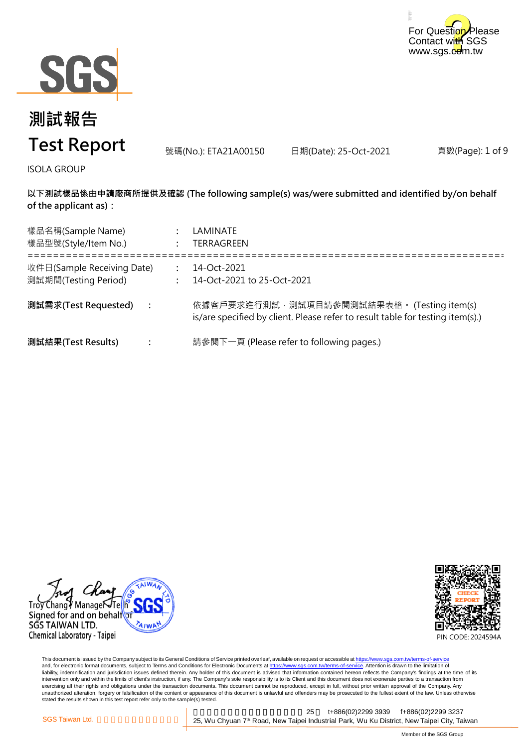



號碼(No.): ETA21A00150 日期(Date): 25-Oct-2021

頁數(Page): 1 of 9

ISOLA GROUP

**以下測試樣品係由申請廠商所提供及確認 (The following sample(s) was/were submitted and identified by/on behalf of the applicant as):**

| 樣品名稱(Sample Name)<br>樣品型號(Style/Item No.)          |                      | LAMINATE<br>TERRAGREEN                                                                                                       |
|----------------------------------------------------|----------------------|------------------------------------------------------------------------------------------------------------------------------|
| 收件日(Sample Receiving Date)<br>測試期間(Testing Period) |                      | 14-Oct-2021<br>14-Oct-2021 to 25-Oct-2021                                                                                    |
| 測試需求(Test Requested)                               | $\ddot{\phantom{a}}$ | 依據客戶要求進行測試,測試項目請參閱測試結果表格。 (Testing item(s)<br>is/are specified by client. Please refer to result table for testing item(s).) |
| 測試結果(Test Results)                                 |                      | 請參閱下一頁 (Please refer to following pages.)                                                                                    |

Trov Chang / Managei Signed for and on behalf SGS TAIWAN LTD. Chemical Laboratory - Taipei



This document is issued by the Company subject to its General Conditions of Service printed overleaf, available on request or accessible at <u>https://www.sgs.com.tw/terms-of-service</u><br>and, for electronic format documents, su liability, indemnification and jurisdiction issues defined therein. Any holder of this document is advised that information contained hereon reflects the Company's findings at the time of its intervention only and within the limits of client's instruction, if any. The Company's sole responsibility is to its Client and this document does not exonerate parties to a transaction from exercising all their rights and obligations under the transaction documents. This document cannot be reproduced, except in full, without prior written approval of the Company. Any<br>unauthorized alteration, forgery or falsif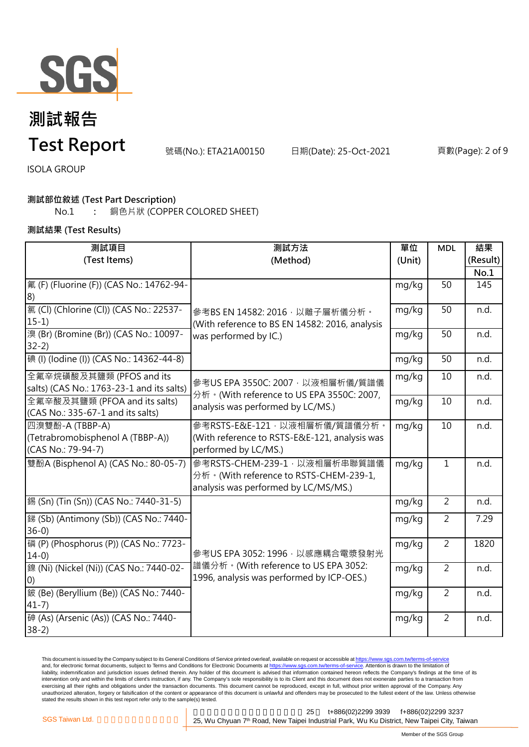

# **測試報告**

### **Test Report**

號碼(No.): ETA21A00150 日期(Date): 25-Oct-2021 頁數(Page): 2 of 9

ISOLA GROUP

#### **測試部位敘述 (Test Part Description)**

No.1 **:** 銅色片狀 (COPPER COLORED SHEET)

**測試結果 (Test Results)**

| 測試項目                                      | 測試方法                                                                                                               | 單位     | <b>MDL</b>     | 結果       |
|-------------------------------------------|--------------------------------------------------------------------------------------------------------------------|--------|----------------|----------|
| (Test Items)                              | (Method)                                                                                                           | (Unit) |                | (Result) |
|                                           |                                                                                                                    |        |                | No.1     |
| 氟 (F) (Fluorine (F)) (CAS No.: 14762-94-  |                                                                                                                    | mg/kg  | 50             | 145      |
| 8)                                        |                                                                                                                    |        |                |          |
| 氯 (Cl) (Chlorine (Cl)) (CAS No.: 22537-   | 參考BS EN 14582: 2016, 以離子層析儀分析。<br>(With reference to BS EN 14582: 2016, analysis<br>was performed by IC.)          | mg/kg  | 50             | n.d.     |
| $15-1)$                                   |                                                                                                                    |        |                |          |
| 溴 (Br) (Bromine (Br)) (CAS No.: 10097-    |                                                                                                                    | mg/kg  | 50             | n.d.     |
| $32-2)$                                   |                                                                                                                    |        |                |          |
| 碘 (I) (Iodine (I)) (CAS No.: 14362-44-8)  |                                                                                                                    | mg/kg  | 50             | n.d.     |
| 全氟辛烷磺酸及其鹽類 (PFOS and its                  |                                                                                                                    | mg/kg  | 10             | n.d.     |
| salts) (CAS No.: 1763-23-1 and its salts) | 參考US EPA 3550C: 2007, 以液相層析儀/質譜儀<br>分析。(With reference to US EPA 3550C: 2007,<br>analysis was performed by LC/MS.) |        |                |          |
| 全氟辛酸及其鹽類 (PFOA and its salts)             |                                                                                                                    | mg/kg  | 10             | n.d.     |
| (CAS No.: 335-67-1 and its salts)         |                                                                                                                    |        |                |          |
| 四溴雙酚-A (TBBP-A)                           | 參考RSTS-E&E-121,以液相層析儀/質譜儀分析。                                                                                       | mg/kg  | 10             | n.d.     |
| (Tetrabromobisphenol A (TBBP-A))          | (With reference to RSTS-E&E-121, analysis was                                                                      |        |                |          |
| (CAS No.: 79-94-7)                        | performed by LC/MS.)                                                                                               |        |                |          |
| 雙酚A (Bisphenol A) (CAS No.: 80-05-7)      | 參考RSTS-CHEM-239-1, 以液相層析串聯質譜儀                                                                                      | mg/kg  | 1              | n.d.     |
|                                           | 分析。(With reference to RSTS-CHEM-239-1,                                                                             |        |                |          |
|                                           | analysis was performed by LC/MS/MS.)                                                                               |        |                |          |
| 錫 (Sn) (Tin (Sn)) (CAS No.: 7440-31-5)    |                                                                                                                    | mg/kg  | 2              | n.d.     |
| 銻 (Sb) (Antimony (Sb)) (CAS No.: 7440-    |                                                                                                                    | mg/kg  | $\overline{2}$ | 7.29     |
| $36-0$                                    |                                                                                                                    |        |                |          |
| 磷 (P) (Phosphorus (P)) (CAS No.: 7723-    |                                                                                                                    | mg/kg  | $\overline{2}$ | 1820     |
| $14-0$                                    | 參考US EPA 3052: 1996, 以感應耦合電漿發射光                                                                                    |        |                |          |
| 鎳 (Ni) (Nickel (Ni)) (CAS No.: 7440-02-   | 譜儀分析。(With reference to US EPA 3052:<br>1996, analysis was performed by ICP-OES.)                                  | mg/kg  | $\overline{2}$ | n.d.     |
| $ 0\rangle$                               |                                                                                                                    |        |                |          |
| 鈹 (Be) (Beryllium (Be)) (CAS No.: 7440-   |                                                                                                                    | mg/kg  | $\overline{2}$ | n.d.     |
| $41-7)$                                   |                                                                                                                    |        |                |          |
| 砷 (As) (Arsenic (As)) (CAS No.: 7440-     |                                                                                                                    | mg/kg  | $\overline{2}$ | n.d.     |
| $38-2)$                                   |                                                                                                                    |        |                |          |

This document is issued by the Company subject to its General Conditions of Service printed overleaf, available on request or accessible at <u>https://www.sgs.com.tw/terms-of-service</u><br>and, for electronic format documents, su liability, indemnification and jurisdiction issues defined therein. Any holder of this document is advised that information contained hereon reflects the Company's findings at the time of its liability, indemnification and intervention only and within the limits of client's instruction, if any. The Company's sole responsibility is to its Client and this document does not exonerate parties to a transaction from exercising all their rights and obligations under the transaction documents. This document cannot be reproduced, except in full, without prior written approval of the Company. Any<br>unauthorized alteration, forgery or falsif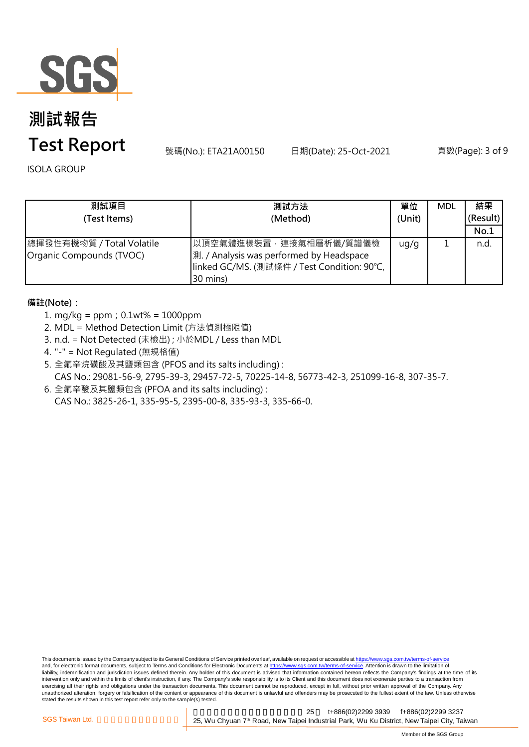

# **測試報告**

## **Test Report**

號碼(No.): ETA21A00150 日期(Date): 25-Oct-2021 頁數(Page): 3 of 9

ISOLA GROUP

| 測試項目<br>(Test Items)                                  | 測試方法<br>(Method)                                                                                                              | 單位<br>(Unit) | <b>MDL</b> | 結果<br>(Result)<br>No.1 |
|-------------------------------------------------------|-------------------------------------------------------------------------------------------------------------------------------|--------------|------------|------------------------|
| 總揮發性有機物質 / Total Volatile<br>Organic Compounds (TVOC) | 以頂空氣體進樣裝置,連接氣相層析儀/質譜儀檢<br>測. / Analysis was performed by Headspace<br> linked GC/MS. (測試條件 / Test Condition: 90℃,<br>30 mins) | ug/g         |            | n.d.                   |

### **備註(Note):**

- 1. mg/kg = ppm;0.1wt% = 1000ppm
- 2. MDL = Method Detection Limit (方法偵測極限值)
- 3. n.d. = Not Detected (未檢出) ; 小於MDL / Less than MDL
- 4. "-" = Not Regulated (無規格值)
- 5. 全氟辛烷磺酸及其鹽類包含 (PFOS and its salts including) : CAS No.: 29081-56-9, 2795-39-3, 29457-72-5, 70225-14-8, 56773-42-3, 251099-16-8, 307-35-7.
- 6. 全氟辛酸及其鹽類包含 (PFOA and its salts including) : CAS No.: 3825-26-1, 335-95-5, 2395-00-8, 335-93-3, 335-66-0.

This document is issued by the Company subject to its General Conditions of Service printed overleaf, available on request or accessible at https://www.sgs.com.tw/terms-of-service and, for electronic format documents, subject to Terms and Conditions for Electronic Documents at https://www.sgs.com.tw/terms-of-service. Attention is drawn to the limitation of liability, indemnification and jurisdiction issues defined therein. Any holder of this document is advised that information contained hereon reflects the Company's findings at the time of its intervention only and within the limits of client's instruction, if any. The Company's sole responsibility is to its Client and this document does not exonerate parties to a transaction from exercising all their rights and obligations under the transaction documents. This document cannot be reproduced, except in full, without prior written approval of the Company. Any<br>unauthorized alteration, forgery or falsif stated the results shown in this test report refer only to the sample(s) tested.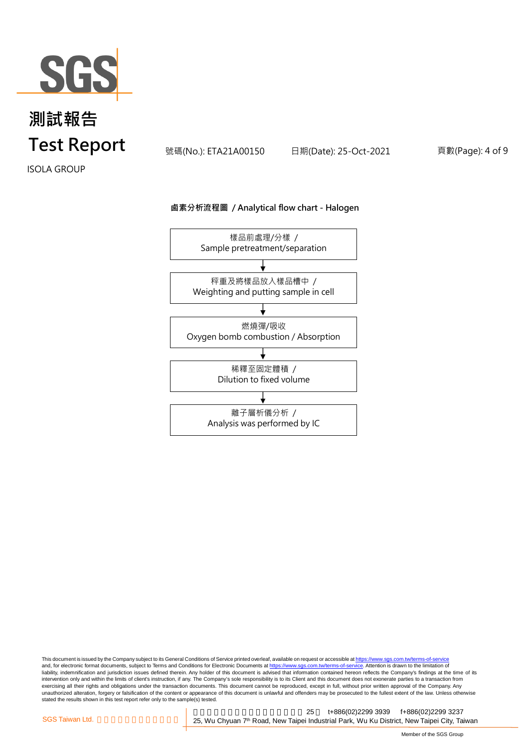

號碼(No.): ETA21A00150 日期(Date): 25-Oct-2021 頁數(Page): 4 of 9

ISOLA GROUP

#### **鹵素分析流程圖 / Analytical flow chart - Halogen**



This document is issued by the Company subject to its General Conditions of Service printed overleaf, available on request or accessible at <u>https://www.sgs.com.tw/terms-of-service</u><br>and, for electronic format documents, su liability, indemnification and jurisdiction issues defined therein. Any holder of this document is advised that information contained hereon reflects the Company's findings at the time of its intervention only and within the limits of client's instruction, if any. The Company's sole responsibility is to its Client and this document does not exonerate parties to a transaction from exercising all their rights and obligations under the transaction documents. This document cannot be reproduced, except in full, without prior written approval of the Company. Any<br>unauthorized alteration, forgery or falsif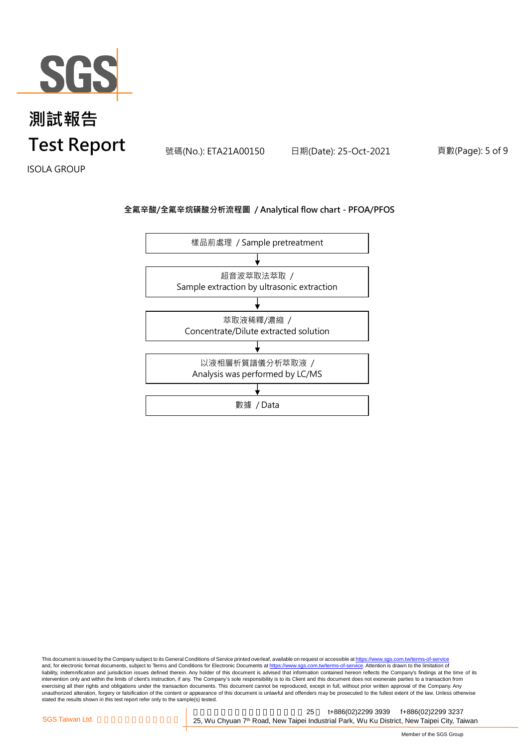

號碼(No.): ETA21A00150 日期(Date): 25-Oct-2021 頁數(Page): 5 of 9

ISOLA GROUP

### **全氟辛酸/全氟辛烷磺酸分析流程圖 / Analytical flow chart - PFOA/PFOS**



This document is issued by the Company subject to its General Conditions of Service printed overleaf, available on request or accessible at <u>https://www.sgs.com.tw/terms-of-service</u><br>and, for electronic format documents, su liability, indemnification and jurisdiction issues defined therein. Any holder of this document is advised that information contained hereon reflects the Company's findings at the time of its intervention only and within the limits of client's instruction, if any. The Company's sole responsibility is to its Client and this document does not exonerate parties to a transaction from exercising all their rights and obligations under the transaction documents. This document cannot be reproduced, except in full, without prior written approval of the Company. Any<br>unauthorized alteration, forgery or falsif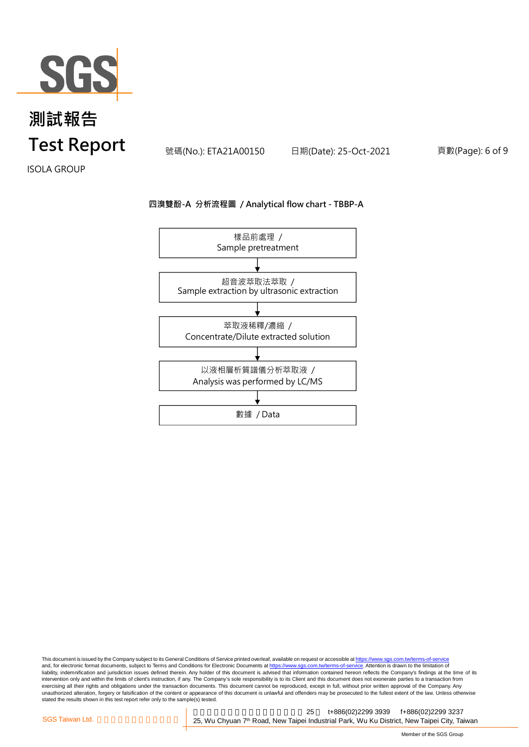

號碼(No.): ETA21A00150 日期(Date): 25-Oct-2021 頁數(Page): 6 of 9

ISOLA GROUP

#### **四溴雙酚-A 分析流程圖 / Analytical flow chart - TBBP-A**



This document is issued by the Company subject to its General Conditions of Service printed overleaf, available on request or accessible at <u>https://www.sgs.com.tw/terms-of-service</u><br>and, for electronic format documents, su liability, indemnification and jurisdiction issues defined therein. Any holder of this document is advised that information contained hereon reflects the Company's findings at the time of its intervention only and within the limits of client's instruction, if any. The Company's sole responsibility is to its Client and this document does not exonerate parties to a transaction from exercising all their rights and obligations under the transaction documents. This document cannot be reproduced, except in full, without prior written approval of the Company. Any<br>unauthorized alteration, forgery or falsif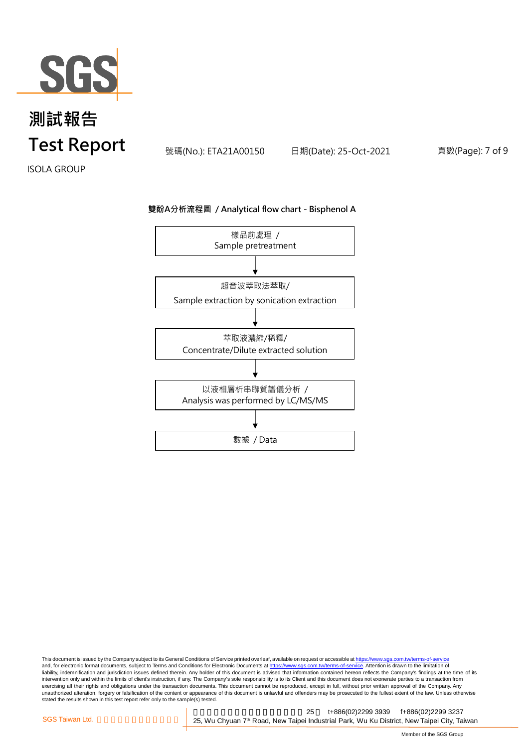

號碼(No.): ETA21A00150 日期(Date): 25-Oct-2021 頁數(Page): 7 of 9

ISOLA GROUP

#### **雙酚A分析流程圖 / Analytical flow chart - Bisphenol A**



This document is issued by the Company subject to its General Conditions of Service printed overleaf, available on request or accessible at <u>https://www.sgs.com.tw/terms-of-service</u><br>and, for electronic format documents, su liability, indemnification and jurisdiction issues defined therein. Any holder of this document is advised that information contained hereon reflects the Company's findings at the time of its intervention only and within the limits of client's instruction, if any. The Company's sole responsibility is to its Client and this document does not exonerate parties to a transaction from exercising all their rights and obligations under the transaction documents. This document cannot be reproduced, except in full, without prior written approval of the Company. Any<br>unauthorized alteration, forgery or falsif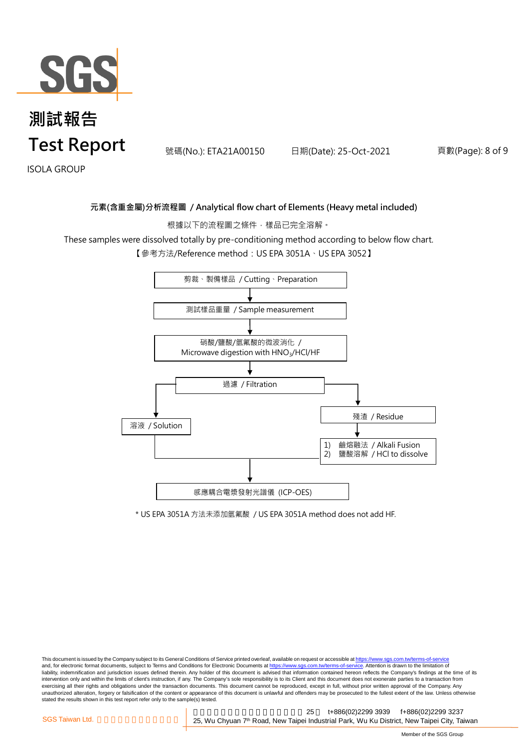

號碼(No.): ETA21A00150 日期(Date): 25-Oct-2021 頁數(Page): 8 of 9

ISOLA GROUP

### **元素(含重金屬)分析流程圖 / Analytical flow chart of Elements (Heavy metal included)**

根據以下的流程圖之條件,樣品已完全溶解。

These samples were dissolved totally by pre-conditioning method according to below flow chart.

【參考方法/Reference method:US EPA 3051A、US EPA 3052】



\* US EPA 3051A 方法未添加氫氟酸 / US EPA 3051A method does not add HF.

This document is issued by the Company subject to its General Conditions of Service printed overleaf, available on request or accessible at https://www.sgs.com.tw/terms-of-service and, for electronic format documents, subject to Terms and Conditions for Electronic Documents at https://www.sgs.com.tw/terms-of-service. Attention is drawn to the limitation of liability, indemnification and jurisdiction issues defined therein. Any holder of this document is advised that information contained hereon reflects the Company's findings at the time of its intervention only and within the limits of client's instruction, if any. The Company's sole responsibility is to its Client and this document does not exonerate parties to a transaction from exercising all their rights and obligations under the transaction documents. This document cannot be reproduced, except in full, without prior written approval of the Company. Any<br>unauthorized alteration, forgery or falsif